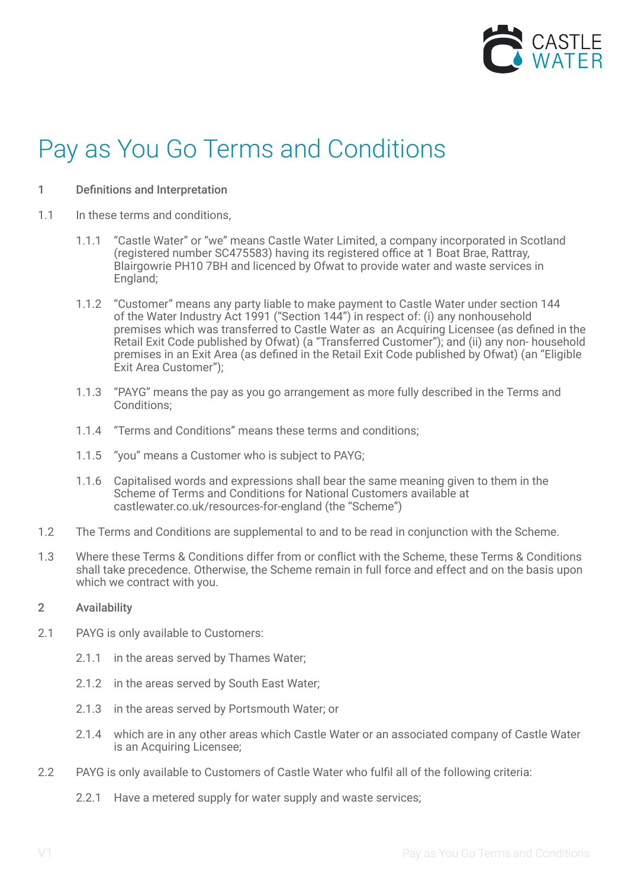

# Pay as You Go Terms and Conditions

## 1 Definitions and Interpretation

- 1.1 In these terms and conditions.
	- 1.1.1 "Castle Water" or "we" means Castle Water Limited, a company incorporated in Scotland (registered number SC475583) having its registered office at 1 Boat Brae, Rattray, Blairgowrie PH10 7BH and licenced by Ofwat to provide water and waste services in England;
	- 1.1.2 "Customer" means any party liable to make payment to Castle Water under section 144 of the Water Industry Act 1991 ("Section 144") in respect of: (i) any nonhousehold premises which was transferred to Castle Water as an Acquiring Licensee (as defined in the Retail Exit Code published by Ofwat) (a "Transferred Customer"); and (ii) any non- household premises in an Exit Area (as defined in the Retail Exit Code published by Ofwat) (an "Eligible Exit Area Customer");
	- 1.1.3 "PAYG" means the pay as you go arrangement as more fully described in the Terms and Conditions;
	- 1.1.4 "Terms and Conditions" means these terms and conditions;
	- 1.1.5 "you" means a Customer who is subject to PAYG;
	- 1.1.6 Capitalised words and expressions shall bear the same meaning given to them in the Scheme of Terms and Conditions for National Customers available at castlewater.co.uk/resources-for-england (the "Scheme")
- 1.2 The Terms and Conditions are supplemental to and to be read in conjunction with the Scheme.
- 1.3 Where these Terms & Conditions differ from or conflict with the Scheme, these Terms & Conditions shall take precedence. Otherwise, the Scheme remain in full force and effect and on the basis upon which we contract with you.

## 2 Availability

- 2.1 PAYG is only available to Customers:
	- 2.1.1 in the areas served by Thames Water;
	- 2.1.2 in the areas served by South East Water;
	- 2.1.3 in the areas served by Portsmouth Water; or
	- 2.1.4 which are in any other areas which Castle Water or an associated company of Castle Water is an Acquiring Licensee;
- 2.2 PAYG is only available to Customers of Castle Water who fulfil all of the following criteria:
	- 2.2.1 Have a metered supply for water supply and waste services;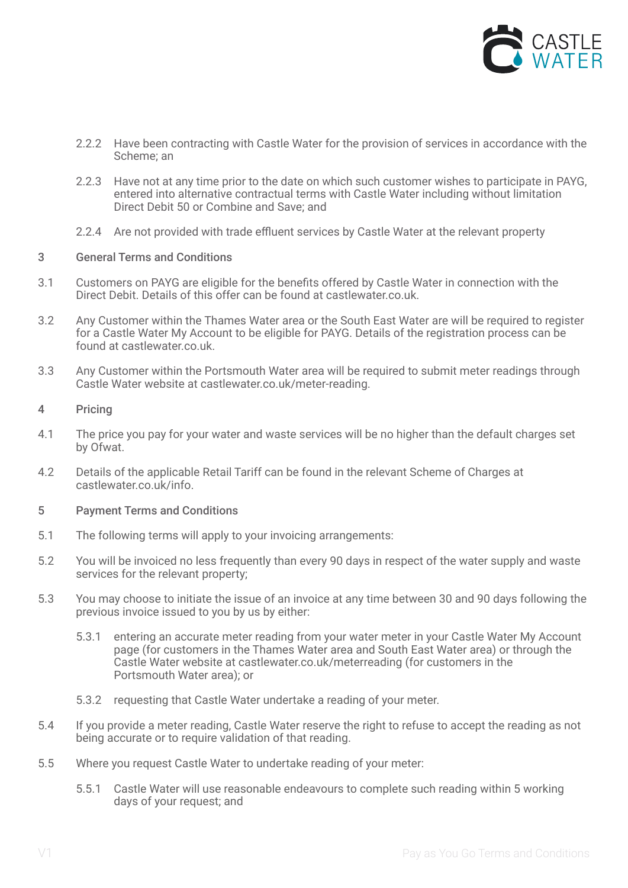

- 2.2.2 Have been contracting with Castle Water for the provision of services in accordance with the Scheme; an
- 2.2.3 Have not at any time prior to the date on which such customer wishes to participate in PAYG, entered into alternative contractual terms with Castle Water including without limitation Direct Debit 50 or Combine and Save; and
- 2.2.4 Are not provided with trade effluent services by Castle Water at the relevant property

### 3 General Terms and Conditions

- 3.1 Customers on PAYG are eligible for the benefits offered by Castle Water in connection with the Direct Debit. Details of this offer can be found at castlewater.co.uk.
- 3.2 Any Customer within the Thames Water area or the South East Water are will be required to register for a Castle Water My Account to be eligible for PAYG. Details of the registration process can be found at castlewater.co.uk.
- 3.3 Any Customer within the Portsmouth Water area will be required to submit meter readings through Castle Water website at castlewater.co.uk/meter-reading.

## 4 Pricing

- 4.1 The price you pay for your water and waste services will be no higher than the default charges set by Ofwat.
- 4.2 Details of the applicable Retail Tariff can be found in the relevant Scheme of Charges at castlewater.co.uk/info.

#### 5 Payment Terms and Conditions

- 5.1 The following terms will apply to your invoicing arrangements:
- 5.2 You will be invoiced no less frequently than every 90 days in respect of the water supply and waste services for the relevant property;
- 5.3 You may choose to initiate the issue of an invoice at any time between 30 and 90 days following the previous invoice issued to you by us by either:
	- 5.3.1 entering an accurate meter reading from your water meter in your Castle Water My Account page (for customers in the Thames Water area and South East Water area) or through the Castle Water website at castlewater.co.uk/meterreading (for customers in the Portsmouth Water area); or
	- 5.3.2 requesting that Castle Water undertake a reading of your meter.
- 5.4 If you provide a meter reading, Castle Water reserve the right to refuse to accept the reading as not being accurate or to require validation of that reading.
- 5.5 Where you request Castle Water to undertake reading of your meter:
	- 5.5.1 Castle Water will use reasonable endeavours to complete such reading within 5 working days of your request; and